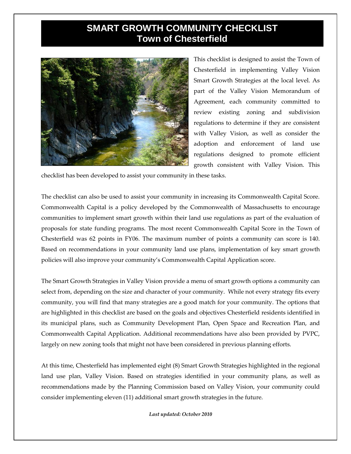## **SMART GROWTH COMMUNITY CHECKLIST Town of Chesterfield**



This checklist is designed to assist the Town of Chesterfield in implementing Valley Vision Smart Growth Strategies at the local level. As part of the Valley Vision Memorandum of Agreement, each community committed to review existing zoning and subdivision regulations to determine if they are consistent with Valley Vision, as well as consider the adoption and enforcement of land use regulations designed to promote efficient growth consistent with Valley Vision. This

checklist has been developed to assist your community in these tasks.

The checklist can also be used to assist your community in increasing its Commonwealth Capital Score. Commonwealth Capital is a policy developed by the Commonwealth of Massachusetts to encourage communities to implement smart growth within their land use regulations as part of the evaluation of proposals for state funding programs. The most recent Commonwealth Capital Score in the Town of Chesterfield was 62 points in FY06. The maximum number of points a community can score is 140. Based on recommendations in your community land use plans, implementation of key smart growth policies will also improve your community's Commonwealth Capital Application score.

The Smart Growth Strategies in Valley Vision provide a menu of smart growth options a community can select from, depending on the size and character of your community. While not every strategy fits every community, you will find that many strategies are a good match for your community. The options that are highlighted in this checklist are based on the goals and objectives Chesterfield residents identified in its municipal plans, such as Community Development Plan, Open Space and Recreation Plan, and Commonwealth Capital Application. Additional recommendations have also been provided by PVPC, largely on new zoning tools that might not have been considered in previous planning efforts.

At this time, Chesterfield has implemented eight (8) Smart Growth Strategies highlighted in the regional land use plan, Valley Vision. Based on strategies identified in your community plans, as well as recommendations made by the Planning Commission based on Valley Vision, your community could consider implementing eleven (11) additional smart growth strategies in the future.

*Last updated: October 2010*